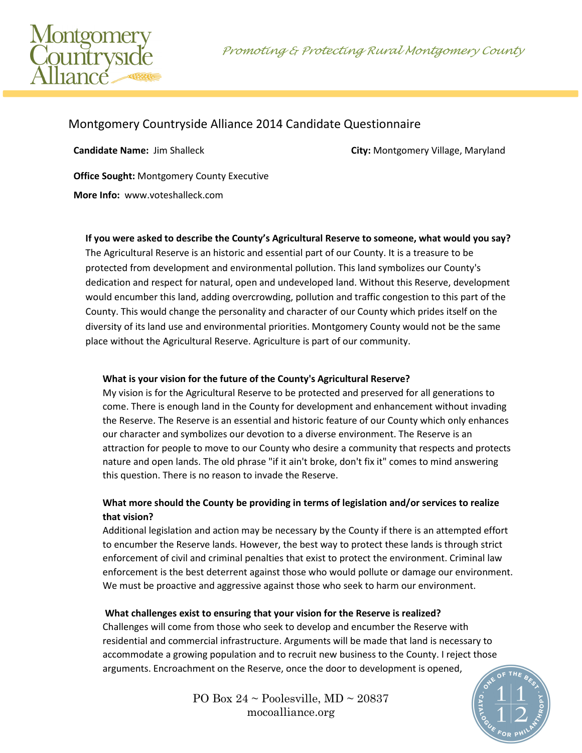Promoting & Protecting Rural Montgomery County



# Montgomery Countryside Alliance 2014 Candidate Questionnaire

**Candidate Name:** Jim Shalleck **City:** Montgomery Village, Maryland

**Office Sought:** Montgomery County Executive

**More Info:** www.voteshalleck.com

#### **If you were asked to describe the County's Agricultural Reserve to someone, what would you say?**

The Agricultural Reserve is an historic and essential part of our County. It is a treasure to be protected from development and environmental pollution. This land symbolizes our County's dedication and respect for natural, open and undeveloped land. Without this Reserve, development would encumber this land, adding overcrowding, pollution and traffic congestion to this part of the County. This would change the personality and character of our County which prides itself on the diversity of its land use and environmental priorities. Montgomery County would not be the same place without the Agricultural Reserve. Agriculture is part of our community.

#### **What is your vision for the future of the County's Agricultural Reserve?**

My vision is for the Agricultural Reserve to be protected and preserved for all generations to come. There is enough land in the County for development and enhancement without invading the Reserve. The Reserve is an essential and historic feature of our County which only enhances our character and symbolizes our devotion to a diverse environment. The Reserve is an attraction for people to move to our County who desire a community that respects and protects nature and open lands. The old phrase "if it ain't broke, don't fix it" comes to mind answering this question. There is no reason to invade the Reserve.

## **What more should the County be providing in terms of legislation and/or services to realize that vision?**

Additional legislation and action may be necessary by the County if there is an attempted effort to encumber the Reserve lands. However, the best way to protect these lands is through strict enforcement of civil and criminal penalties that exist to protect the environment. Criminal law enforcement is the best deterrent against those who would pollute or damage our environment. We must be proactive and aggressive against those who seek to harm our environment.

#### **What challenges exist to ensuring that your vision for the Reserve is realized?**

Challenges will come from those who seek to develop and encumber the Reserve with residential and commercial infrastructure. Arguments will be made that land is necessary to accommodate a growing population and to recruit new business to the County. I reject those arguments. Encroachment on the Reserve, once the door to development is opened,

> PO Box  $24 \sim$  Poolesville, MD  $\sim$  20837 mocoalliance.org